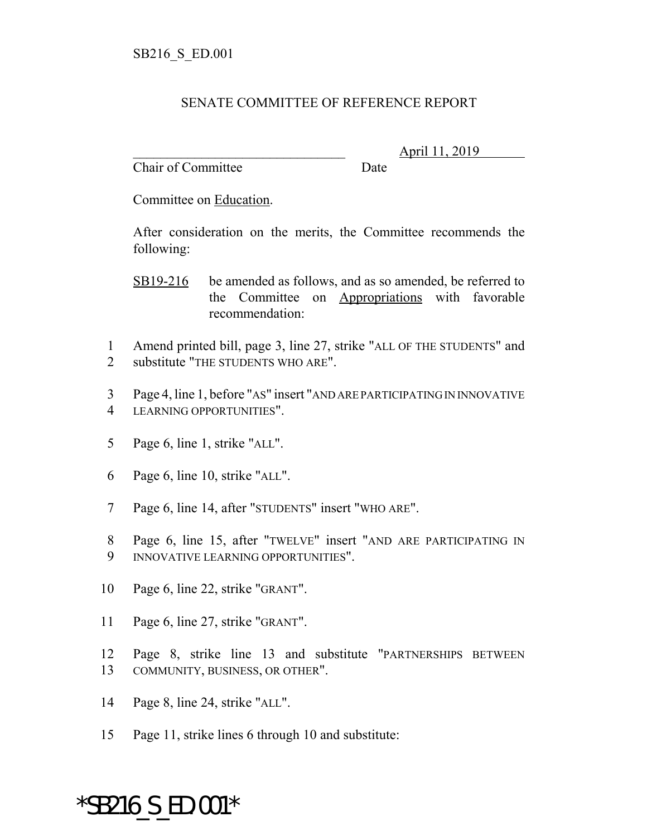## SENATE COMMITTEE OF REFERENCE REPORT

Chair of Committee Date

\_\_\_\_\_\_\_\_\_\_\_\_\_\_\_\_\_\_\_\_\_\_\_\_\_\_\_\_\_\_\_ April 11, 2019

Committee on Education.

After consideration on the merits, the Committee recommends the following:

SB19-216 be amended as follows, and as so amended, be referred to the Committee on Appropriations with favorable recommendation:

- 1 Amend printed bill, page 3, line 27, strike "ALL OF THE STUDENTS" and 2 substitute "THE STUDENTS WHO ARE".
- 3 Page 4, line 1, before "AS" insert "AND ARE PARTICIPATING IN INNOVATIVE 4 LEARNING OPPORTUNITIES".
- 5 Page 6, line 1, strike "ALL".
- 6 Page 6, line 10, strike "ALL".
- 7 Page 6, line 14, after "STUDENTS" insert "WHO ARE".
- 8 Page 6, line 15, after "TWELVE" insert "AND ARE PARTICIPATING IN 9 INNOVATIVE LEARNING OPPORTUNITIES".
- 10 Page 6, line 22, strike "GRANT".
- 11 Page 6, line 27, strike "GRANT".
- 12 Page 8, strike line 13 and substitute "PARTNERSHIPS BETWEEN 13 COMMUNITY, BUSINESS, OR OTHER".
- 14 Page 8, line 24, strike "ALL".
- 15 Page 11, strike lines 6 through 10 and substitute:

## \*SB216\_S\_ED.001\*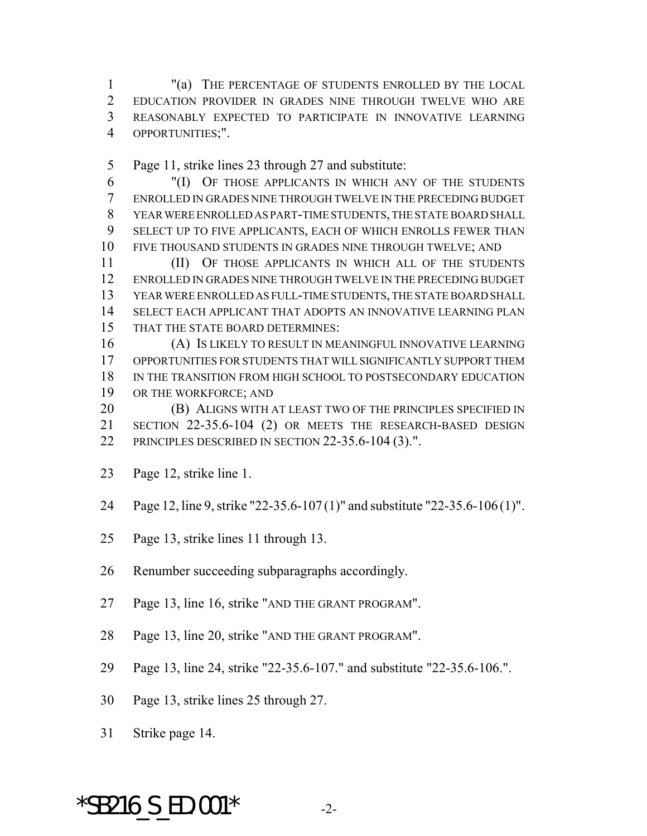"(a) THE PERCENTAGE OF STUDENTS ENROLLED BY THE LOCAL EDUCATION PROVIDER IN GRADES NINE THROUGH TWELVE WHO ARE REASONABLY EXPECTED TO PARTICIPATE IN INNOVATIVE LEARNING OPPORTUNITIES;".

Page 11, strike lines 23 through 27 and substitute:

 "(I) OF THOSE APPLICANTS IN WHICH ANY OF THE STUDENTS ENROLLED IN GRADES NINE THROUGH TWELVE IN THE PRECEDING BUDGET YEAR WERE ENROLLED AS PART-TIME STUDENTS, THE STATE BOARD SHALL SELECT UP TO FIVE APPLICANTS, EACH OF WHICH ENROLLS FEWER THAN FIVE THOUSAND STUDENTS IN GRADES NINE THROUGH TWELVE; AND

 (II) OF THOSE APPLICANTS IN WHICH ALL OF THE STUDENTS ENROLLED IN GRADES NINE THROUGH TWELVE IN THE PRECEDING BUDGET YEAR WERE ENROLLED AS FULL-TIME STUDENTS, THE STATE BOARD SHALL SELECT EACH APPLICANT THAT ADOPTS AN INNOVATIVE LEARNING PLAN THAT THE STATE BOARD DETERMINES:

 (A) IS LIKELY TO RESULT IN MEANINGFUL INNOVATIVE LEARNING OPPORTUNITIES FOR STUDENTS THAT WILL SIGNIFICANTLY SUPPORT THEM IN THE TRANSITION FROM HIGH SCHOOL TO POSTSECONDARY EDUCATION OR THE WORKFORCE; AND

**(B) ALIGNS WITH AT LEAST TWO OF THE PRINCIPLES SPECIFIED IN**  SECTION 22-35.6-104 (2) OR MEETS THE RESEARCH-BASED DESIGN PRINCIPLES DESCRIBED IN SECTION 22-35.6-104 (3).".

- Page 12, strike line 1.
- Page 12, line 9, strike "22-35.6-107 (1)" and substitute "22-35.6-106 (1)".
- Page 13, strike lines 11 through 13.
- Renumber succeeding subparagraphs accordingly.
- Page 13, line 16, strike "AND THE GRANT PROGRAM".
- Page 13, line 20, strike "AND THE GRANT PROGRAM".
- Page 13, line 24, strike "22-35.6-107." and substitute "22-35.6-106.".
- Page 13, strike lines 25 through 27.
- Strike page 14.

## \*SB216 S ED.001\*  $-2$ -